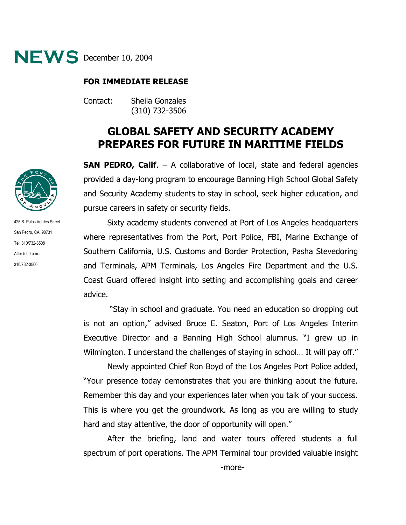

## **FOR IMMEDIATE RELEASE**

Contact: Sheila Gonzales (310) 732-3506

## **GLOBAL SAFETY AND SECURITY ACADEMY PREPARES FOR FUTURE IN MARITIME FIELDS**

**SAN PEDRO, Calif.** – A collaborative of local, state and federal agencies provided a day-long program to encourage Banning High School Global Safety and Security Academy students to stay in school, seek higher education, and pursue careers in safety or security fields.

Sixty academy students convened at Port of Los Angeles headquarters where representatives from the Port, Port Police, FBI, Marine Exchange of Southern California, U.S. Customs and Border Protection, Pasha Stevedoring and Terminals, APM Terminals, Los Angeles Fire Department and the U.S. Coast Guard offered insight into setting and accomplishing goals and career advice.

 "Stay in school and graduate. You need an education so dropping out is not an option," advised Bruce E. Seaton, Port of Los Angeles Interim Executive Director and a Banning High School alumnus. "I grew up in Wilmington. I understand the challenges of staying in school... It will pay off."

Newly appointed Chief Ron Boyd of the Los Angeles Port Police added, "Your presence today demonstrates that you are thinking about the future. Remember this day and your experiences later when you talk of your success. This is where you get the groundwork. As long as you are willing to study hard and stay attentive, the door of opportunity will open."

After the briefing, land and water tours offered students a full spectrum of port operations. The APM Terminal tour provided valuable insight



425 S. Palos Verdes Street San Pedro, CA 90731 Tel: 310/732-3508 After 5:00 p.m.: 310/732-3500